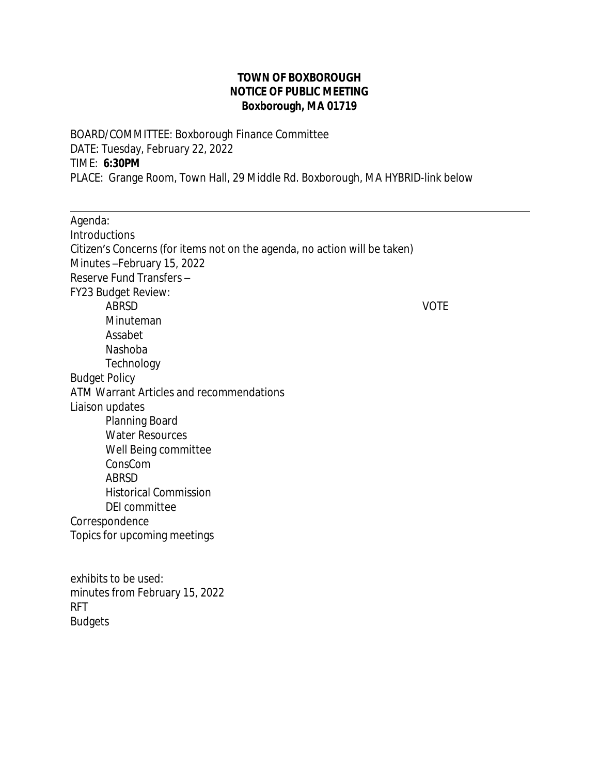## **TOWN OF BOXBOROUGH NOTICE OF PUBLIC MEETING Boxborough, MA 01719**

BOARD/COMMITTEE: Boxborough Finance Committee DATE: Tuesday, February 22, 2022 TIME: **6:30PM** PLACE: Grange Room, Town Hall, 29 Middle Rd. Boxborough, MA HYBRID-link below

 $\overline{a}$ Agenda: Introductions Citizen's Concerns (for items not on the agenda, no action will be taken) Minutes –February 15, 2022 Reserve Fund Transfers – FY23 Budget Review: ABRSD VOTE Minuteman Assabet Nashoba **Technology** Budget Policy ATM Warrant Articles and recommendations Liaison updates Planning Board Water Resources Well Being committee ConsCom ABRSD Historical Commission DEI committee Correspondence Topics for upcoming meetings exhibits to be used: minutes from February 15, 2022 RFT Budgets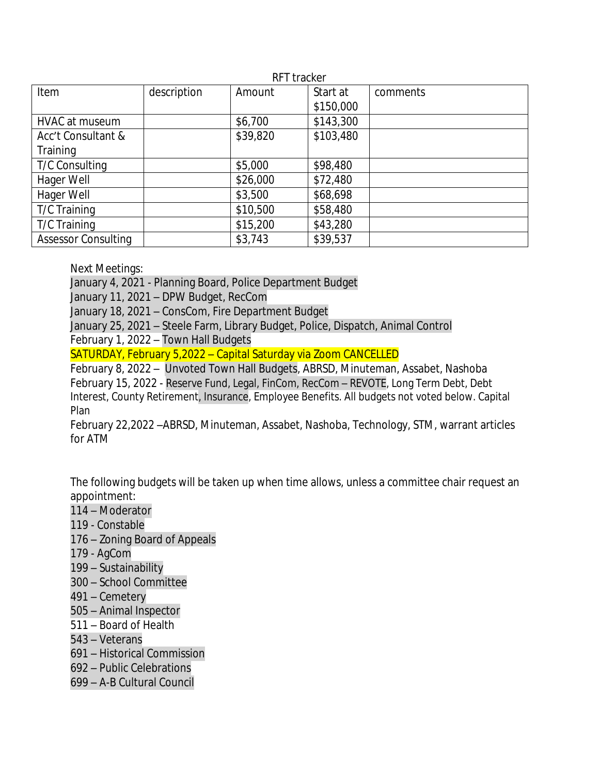| RFT tracker                |             |          |           |          |
|----------------------------|-------------|----------|-----------|----------|
| Item                       | description | Amount   | Start at  | comments |
|                            |             |          | \$150,000 |          |
| HVAC at museum             |             | \$6,700  | \$143,300 |          |
| Acc't Consultant &         |             | \$39,820 | \$103,480 |          |
| Training                   |             |          |           |          |
| <b>T/C Consulting</b>      |             | \$5,000  | \$98,480  |          |
| Hager Well                 |             | \$26,000 | \$72,480  |          |
| Hager Well                 |             | \$3,500  | \$68,698  |          |
| T/C Training               |             | \$10,500 | \$58,480  |          |
| T/C Training               |             | \$15,200 | \$43,280  |          |
| <b>Assessor Consulting</b> |             | \$3,743  | \$39,537  |          |

Next Meetings:

January 4, 2021 - Planning Board, Police Department Budget

January 11, 2021 – DPW Budget, RecCom

January 18, 2021 – ConsCom, Fire Department Budget

January 25, 2021 – Steele Farm, Library Budget, Police, Dispatch, Animal Control February 1, 2022 – Town Hall Budgets

SATURDAY, February 5,2022 – Capital Saturday via Zoom CANCELLED

February 8, 2022 – Unvoted Town Hall Budgets, ABRSD, Minuteman, Assabet, Nashoba February 15, 2022 - Reserve Fund, Legal, FinCom, RecCom – REVOTE, Long Term Debt, Debt Interest, County Retirement, Insurance, Employee Benefits. All budgets not voted below. Capital Plan

February 22,2022 –ABRSD, Minuteman, Assabet, Nashoba, Technology, STM, warrant articles for ATM

The following budgets will be taken up when time allows, unless a committee chair request an appointment:

- 114 Moderator
- 119 Constable
- 176 Zoning Board of Appeals
- 179 AgCom
- 199 Sustainability
- 300 School Committee
- 491 Cemetery
- 505 Animal Inspector
- 511 Board of Health
- 543 Veterans
- 691 Historical Commission
- 692 Public Celebrations
- 699 A-B Cultural Council